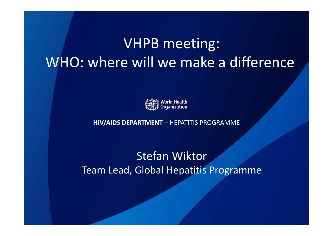#### VHPB meeting: WHO: where will we make <sup>a</sup> difference



**HIV/AIDS DEPARTMENT** – HEPATITIS PROGRAMME

Stefan Wiktor Team Lead, Global Hepatitis Programme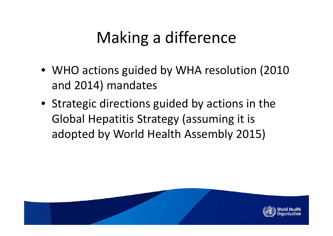# Making <sup>a</sup> difference

- WHO actions guided by WHA resolution (2010 and 2014) mandates
- Strategic directions guided by actions in the Global Hepatitis Strategy (assuming it is adopted by World Health Assembly 2015)

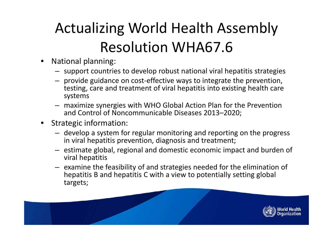# Actualizing World Health Assembly Resolution WHA67.6

- $\bullet$  National planning:
	- support countries to develop robust national viral hepatitis strategies
	- provide guidance on cost‐effective ways to integrate the prevention, testing, care and treatment of viral hepatitis into existing health care systems
	- maximize synergies with WHO Global Action Plan for the Prevention and Control of Noncommunicable Diseases 2013–2020;
- Strategic information:
	- develop <sup>a</sup> system for regular monitoring and reporting on the progress in viral hepatitis prevention, diagnosis and treatment;
	- estimate global, regional and domestic economic impact and burden of viral hepatitis
	- examine the feasibility of and strategies needed for the elimination of hepatitis B and hepatitis C with <sup>a</sup> view to potentially setting global targets;

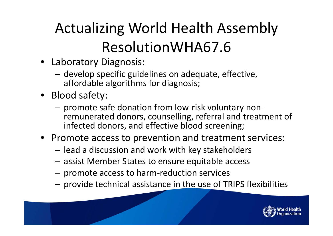# Actualizing World Health Assembly ResolutionWHA67.6

- Laboratory Diagnosis:
	- – $-$  develop specific guidelines on adequate, effective, affordable algorithms for diagnosis;
- Blood safety:
	- promote safe donation from low‐risk voluntary non‐ remunerated donors, counselling, referral and treatment of infected donors, and effective blood screening;
- Promote access to prevention and treatment services:
	- $-$  lead a discussion and work with key stakeholders
	- – $-$  assist Member States to ensure equitable access
	- promote access to harm‐reduction services
	- $-$  provide technical assistance in the use of TRIPS flexibilities

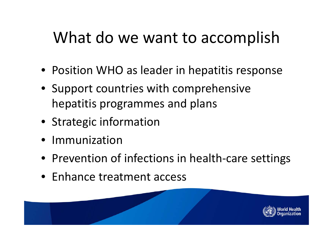#### What do we want to accomplish

- Position WHO as leader in hepatitis response
- Support countries with comprehensive hepatitis programmes and plans
- Strategic information
- Immunization
- Prevention of infections in health-care settings
- Enhance treatment access

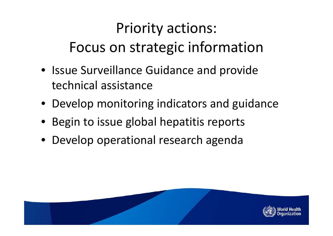### Priority actions: Focus on strategic information

- Issue Surveillance Guidance and provide technical assistance
- Develop monitoring indicators and guidance
- Begin to issue global hepatitis reports
- Develop operational research agenda

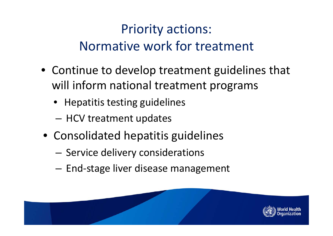#### Priority actions: Normative work for treatment

- Continue to develop treatment guidelines that will inform national treatment programs
	- Hepatitis testing guidelines
	- HCV treatment updates
- Consolidated hepatitis guidelines
	- – $-$  Service delivery considerations
	- – $-$  End-stage liver disease management

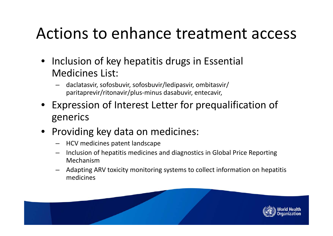#### Actions to enhance treatment access

- Inclusion of key hepatitis drugs in Essential Medicines List:
	- – daclatasvir, sofosbuvir, sofosbuvir/ledipasvir, ombitasvir/ paritaprevir/ritonavir/plus‐minus dasabuvir, entecavir,
- Expression of Interest Letter for prequalification of generics
- Providing key data on medicines:
	- HCV medicines patent landscape
	- – Inclusion of hepatitis medicines and diagnostics in Global Price Reporting Mechanism
	- Adapting ARV toxicity monitoring systems to collect information on hepatitis medicines

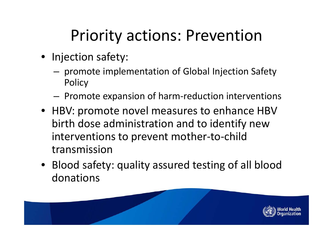## Priority actions: Prevention

- Injection safety:
	- promote implementation of Global Injection Safety **Policy**
	- $-$  Promote expansion of harm-reduction interventions
- HBV: promote novel measures to enhance HBV birth dose administration and to identify new interventions to prevent mother‐to‐child transmission
- Blood safety: quality assured testing of all blood donations